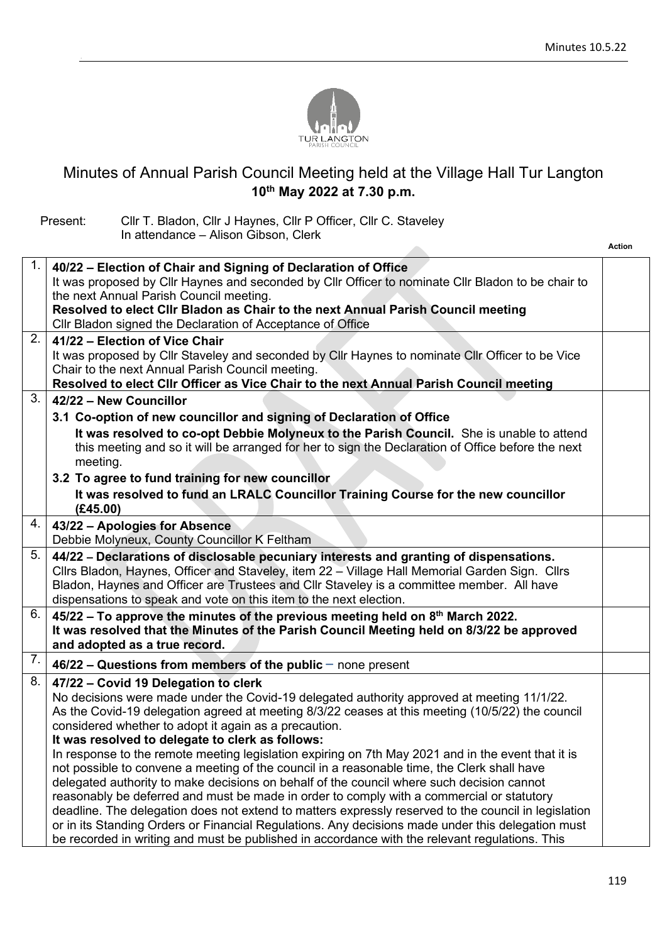**Action**



## Minutes of Annual Parish Council Meeting held at the Village Hall Tur Langton **10th May 2022 at 7.30 p.m.**

Present: Cllr T. Bladon, Cllr J Haynes, Cllr P Officer, Cllr C. Staveley In attendance – Alison Gibson, Clerk

.

| 1.<br>40/22 - Election of Chair and Signing of Declaration of Office<br>It was proposed by Cllr Haynes and seconded by Cllr Officer to nominate Cllr Bladon to be chair to<br>the next Annual Parish Council meeting.<br>Resolved to elect Cllr Bladon as Chair to the next Annual Parish Council meeting<br>Cllr Bladon signed the Declaration of Acceptance of Office<br>2.<br>41/22 - Election of Vice Chair<br>It was proposed by Cllr Staveley and seconded by Cllr Haynes to nominate Cllr Officer to be Vice<br>Chair to the next Annual Parish Council meeting.<br>Resolved to elect Cllr Officer as Vice Chair to the next Annual Parish Council meeting<br>3.<br>42/22 - New Councillor<br>3.1 Co-option of new councillor and signing of Declaration of Office<br>It was resolved to co-opt Debbie Molyneux to the Parish Council. She is unable to attend<br>this meeting and so it will be arranged for her to sign the Declaration of Office before the next<br>meeting.<br>3.2 To agree to fund training for new councillor<br>It was resolved to fund an LRALC Councillor Training Course for the new councillor<br>(E45.00)<br>4.<br>43/22 - Apologies for Absence<br>Debbie Molyneux, County Councillor K Feltham<br>5.<br>44/22 - Declarations of disclosable pecuniary interests and granting of dispensations.<br>Cllrs Bladon, Haynes, Officer and Staveley, item 22 - Village Hall Memorial Garden Sign. Cllrs<br>Bladon, Haynes and Officer are Trustees and Cllr Staveley is a committee member. All have<br>dispensations to speak and vote on this item to the next election.<br>6.<br>$45/22$ – To approve the minutes of the previous meeting held on $8th$ March 2022.<br>It was resolved that the Minutes of the Parish Council Meeting held on 8/3/22 be approved<br>and adopted as a true record.<br>7.<br>$46/22$ – Questions from members of the public – none present<br>8.<br>47/22 - Covid 19 Delegation to clerk<br>No decisions were made under the Covid-19 delegated authority approved at meeting 11/1/22.<br>As the Covid-19 delegation agreed at meeting 8/3/22 ceases at this meeting (10/5/22) the council<br>considered whether to adopt it again as a precaution.<br>It was resolved to delegate to clerk as follows:<br>In response to the remote meeting legislation expiring on 7th May 2021 and in the event that it is<br>not possible to convene a meeting of the council in a reasonable time, the Clerk shall have<br>delegated authority to make decisions on behalf of the council where such decision cannot<br>reasonably be deferred and must be made in order to comply with a commercial or statutory<br>deadline. The delegation does not extend to matters expressly reserved to the council in legislation<br>or in its Standing Orders or Financial Regulations. Any decisions made under this delegation must<br>be recorded in writing and must be published in accordance with the relevant regulations. This |  |  |
|--------------------------------------------------------------------------------------------------------------------------------------------------------------------------------------------------------------------------------------------------------------------------------------------------------------------------------------------------------------------------------------------------------------------------------------------------------------------------------------------------------------------------------------------------------------------------------------------------------------------------------------------------------------------------------------------------------------------------------------------------------------------------------------------------------------------------------------------------------------------------------------------------------------------------------------------------------------------------------------------------------------------------------------------------------------------------------------------------------------------------------------------------------------------------------------------------------------------------------------------------------------------------------------------------------------------------------------------------------------------------------------------------------------------------------------------------------------------------------------------------------------------------------------------------------------------------------------------------------------------------------------------------------------------------------------------------------------------------------------------------------------------------------------------------------------------------------------------------------------------------------------------------------------------------------------------------------------------------------------------------------------------------------------------------------------------------------------------------------------------------------------------------------------------------------------------------------------------------------------------------------------------------------------------------------------------------------------------------------------------------------------------------------------------------------------------------------------------------------------------------------------------------------------------------------------------------------------------------------------------------------------------------------------------------------------------------------------------------------------------------------------------------------------------------------------------------------------------------------------------------------------------------------------------------------------------------------------------------------------|--|--|
|                                                                                                                                                                                                                                                                                                                                                                                                                                                                                                                                                                                                                                                                                                                                                                                                                                                                                                                                                                                                                                                                                                                                                                                                                                                                                                                                                                                                                                                                                                                                                                                                                                                                                                                                                                                                                                                                                                                                                                                                                                                                                                                                                                                                                                                                                                                                                                                                                                                                                                                                                                                                                                                                                                                                                                                                                                                                                                                                                                                      |  |  |
|                                                                                                                                                                                                                                                                                                                                                                                                                                                                                                                                                                                                                                                                                                                                                                                                                                                                                                                                                                                                                                                                                                                                                                                                                                                                                                                                                                                                                                                                                                                                                                                                                                                                                                                                                                                                                                                                                                                                                                                                                                                                                                                                                                                                                                                                                                                                                                                                                                                                                                                                                                                                                                                                                                                                                                                                                                                                                                                                                                                      |  |  |
|                                                                                                                                                                                                                                                                                                                                                                                                                                                                                                                                                                                                                                                                                                                                                                                                                                                                                                                                                                                                                                                                                                                                                                                                                                                                                                                                                                                                                                                                                                                                                                                                                                                                                                                                                                                                                                                                                                                                                                                                                                                                                                                                                                                                                                                                                                                                                                                                                                                                                                                                                                                                                                                                                                                                                                                                                                                                                                                                                                                      |  |  |
|                                                                                                                                                                                                                                                                                                                                                                                                                                                                                                                                                                                                                                                                                                                                                                                                                                                                                                                                                                                                                                                                                                                                                                                                                                                                                                                                                                                                                                                                                                                                                                                                                                                                                                                                                                                                                                                                                                                                                                                                                                                                                                                                                                                                                                                                                                                                                                                                                                                                                                                                                                                                                                                                                                                                                                                                                                                                                                                                                                                      |  |  |
|                                                                                                                                                                                                                                                                                                                                                                                                                                                                                                                                                                                                                                                                                                                                                                                                                                                                                                                                                                                                                                                                                                                                                                                                                                                                                                                                                                                                                                                                                                                                                                                                                                                                                                                                                                                                                                                                                                                                                                                                                                                                                                                                                                                                                                                                                                                                                                                                                                                                                                                                                                                                                                                                                                                                                                                                                                                                                                                                                                                      |  |  |
|                                                                                                                                                                                                                                                                                                                                                                                                                                                                                                                                                                                                                                                                                                                                                                                                                                                                                                                                                                                                                                                                                                                                                                                                                                                                                                                                                                                                                                                                                                                                                                                                                                                                                                                                                                                                                                                                                                                                                                                                                                                                                                                                                                                                                                                                                                                                                                                                                                                                                                                                                                                                                                                                                                                                                                                                                                                                                                                                                                                      |  |  |
|                                                                                                                                                                                                                                                                                                                                                                                                                                                                                                                                                                                                                                                                                                                                                                                                                                                                                                                                                                                                                                                                                                                                                                                                                                                                                                                                                                                                                                                                                                                                                                                                                                                                                                                                                                                                                                                                                                                                                                                                                                                                                                                                                                                                                                                                                                                                                                                                                                                                                                                                                                                                                                                                                                                                                                                                                                                                                                                                                                                      |  |  |
|                                                                                                                                                                                                                                                                                                                                                                                                                                                                                                                                                                                                                                                                                                                                                                                                                                                                                                                                                                                                                                                                                                                                                                                                                                                                                                                                                                                                                                                                                                                                                                                                                                                                                                                                                                                                                                                                                                                                                                                                                                                                                                                                                                                                                                                                                                                                                                                                                                                                                                                                                                                                                                                                                                                                                                                                                                                                                                                                                                                      |  |  |
|                                                                                                                                                                                                                                                                                                                                                                                                                                                                                                                                                                                                                                                                                                                                                                                                                                                                                                                                                                                                                                                                                                                                                                                                                                                                                                                                                                                                                                                                                                                                                                                                                                                                                                                                                                                                                                                                                                                                                                                                                                                                                                                                                                                                                                                                                                                                                                                                                                                                                                                                                                                                                                                                                                                                                                                                                                                                                                                                                                                      |  |  |
|                                                                                                                                                                                                                                                                                                                                                                                                                                                                                                                                                                                                                                                                                                                                                                                                                                                                                                                                                                                                                                                                                                                                                                                                                                                                                                                                                                                                                                                                                                                                                                                                                                                                                                                                                                                                                                                                                                                                                                                                                                                                                                                                                                                                                                                                                                                                                                                                                                                                                                                                                                                                                                                                                                                                                                                                                                                                                                                                                                                      |  |  |
|                                                                                                                                                                                                                                                                                                                                                                                                                                                                                                                                                                                                                                                                                                                                                                                                                                                                                                                                                                                                                                                                                                                                                                                                                                                                                                                                                                                                                                                                                                                                                                                                                                                                                                                                                                                                                                                                                                                                                                                                                                                                                                                                                                                                                                                                                                                                                                                                                                                                                                                                                                                                                                                                                                                                                                                                                                                                                                                                                                                      |  |  |
|                                                                                                                                                                                                                                                                                                                                                                                                                                                                                                                                                                                                                                                                                                                                                                                                                                                                                                                                                                                                                                                                                                                                                                                                                                                                                                                                                                                                                                                                                                                                                                                                                                                                                                                                                                                                                                                                                                                                                                                                                                                                                                                                                                                                                                                                                                                                                                                                                                                                                                                                                                                                                                                                                                                                                                                                                                                                                                                                                                                      |  |  |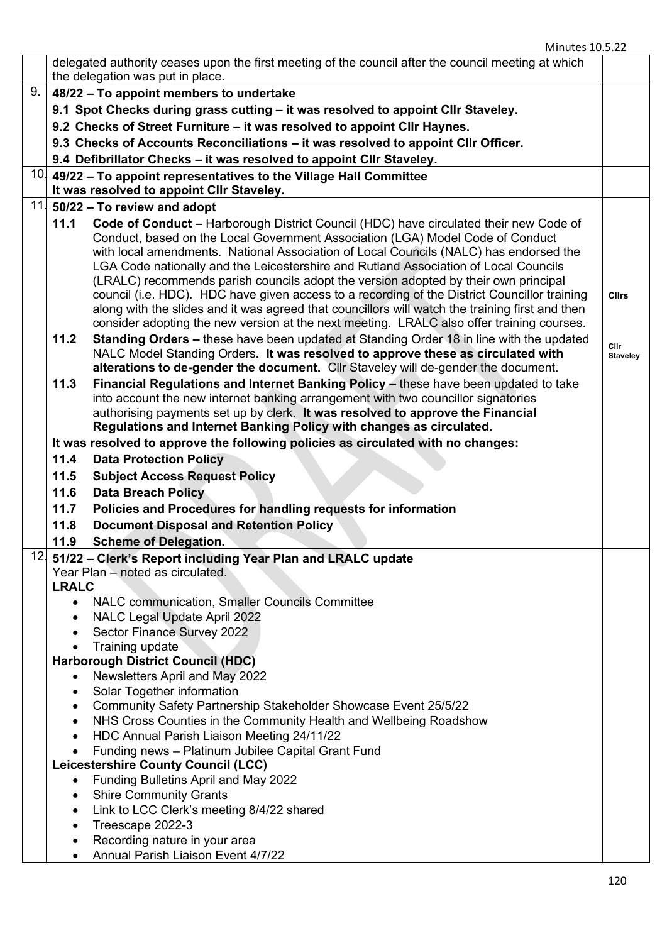|     |                                  | delegated authority ceases upon the first meeting of the council after the council meeting at which<br>the delegation was put in place.                                                                                                                                                                                                                                                                                                                                                                                                                                                                                                                                                                                                         |                                |
|-----|----------------------------------|-------------------------------------------------------------------------------------------------------------------------------------------------------------------------------------------------------------------------------------------------------------------------------------------------------------------------------------------------------------------------------------------------------------------------------------------------------------------------------------------------------------------------------------------------------------------------------------------------------------------------------------------------------------------------------------------------------------------------------------------------|--------------------------------|
| 9.  |                                  | 48/22 - To appoint members to undertake                                                                                                                                                                                                                                                                                                                                                                                                                                                                                                                                                                                                                                                                                                         |                                |
|     |                                  | 9.1 Spot Checks during grass cutting - it was resolved to appoint Cllr Staveley.                                                                                                                                                                                                                                                                                                                                                                                                                                                                                                                                                                                                                                                                |                                |
|     |                                  | 9.2 Checks of Street Furniture - it was resolved to appoint Cllr Haynes.                                                                                                                                                                                                                                                                                                                                                                                                                                                                                                                                                                                                                                                                        |                                |
|     |                                  | 9.3 Checks of Accounts Reconciliations – it was resolved to appoint Cllr Officer.                                                                                                                                                                                                                                                                                                                                                                                                                                                                                                                                                                                                                                                               |                                |
|     |                                  |                                                                                                                                                                                                                                                                                                                                                                                                                                                                                                                                                                                                                                                                                                                                                 |                                |
|     |                                  | 9.4 Defibrillator Checks - it was resolved to appoint Cllr Staveley.                                                                                                                                                                                                                                                                                                                                                                                                                                                                                                                                                                                                                                                                            |                                |
|     |                                  | $10$ 49/22 – To appoint representatives to the Village Hall Committee<br>It was resolved to appoint CIIr Staveley.                                                                                                                                                                                                                                                                                                                                                                                                                                                                                                                                                                                                                              |                                |
| 11  |                                  | 50/22 - To review and adopt                                                                                                                                                                                                                                                                                                                                                                                                                                                                                                                                                                                                                                                                                                                     |                                |
|     | 11.1                             | Code of Conduct - Harborough District Council (HDC) have circulated their new Code of<br>Conduct, based on the Local Government Association (LGA) Model Code of Conduct<br>with local amendments. National Association of Local Councils (NALC) has endorsed the<br>LGA Code nationally and the Leicestershire and Rutland Association of Local Councils<br>(LRALC) recommends parish councils adopt the version adopted by their own principal<br>council (i.e. HDC). HDC have given access to a recording of the District Councillor training<br>along with the slides and it was agreed that councillors will watch the training first and then<br>consider adopting the new version at the next meeting. LRALC also offer training courses. | <b>Clirs</b>                   |
|     | 11.2                             | <b>Standing Orders – these have been updated at Standing Order 18 in line with the updated</b><br>NALC Model Standing Orders. It was resolved to approve these as circulated with<br>alterations to de-gender the document. Cllr Staveley will de-gender the document.                                                                                                                                                                                                                                                                                                                                                                                                                                                                          | <b>Clir</b><br><b>Staveley</b> |
|     | 11.3                             | Financial Regulations and Internet Banking Policy - these have been updated to take<br>into account the new internet banking arrangement with two councillor signatories<br>authorising payments set up by clerk. It was resolved to approve the Financial<br>Regulations and Internet Banking Policy with changes as circulated.                                                                                                                                                                                                                                                                                                                                                                                                               |                                |
|     |                                  | It was resolved to approve the following policies as circulated with no changes:                                                                                                                                                                                                                                                                                                                                                                                                                                                                                                                                                                                                                                                                |                                |
|     | 11.4                             | <b>Data Protection Policy</b>                                                                                                                                                                                                                                                                                                                                                                                                                                                                                                                                                                                                                                                                                                                   |                                |
|     | 11.5                             | <b>Subject Access Request Policy</b>                                                                                                                                                                                                                                                                                                                                                                                                                                                                                                                                                                                                                                                                                                            |                                |
|     | 11.6                             | <b>Data Breach Policy</b>                                                                                                                                                                                                                                                                                                                                                                                                                                                                                                                                                                                                                                                                                                                       |                                |
|     | 11.7                             | Policies and Procedures for handling requests for information                                                                                                                                                                                                                                                                                                                                                                                                                                                                                                                                                                                                                                                                                   |                                |
|     | 11.8                             | <b>Document Disposal and Retention Policy</b>                                                                                                                                                                                                                                                                                                                                                                                                                                                                                                                                                                                                                                                                                                   |                                |
|     | 11.9                             | <b>Scheme of Delegation.</b>                                                                                                                                                                                                                                                                                                                                                                                                                                                                                                                                                                                                                                                                                                                    |                                |
| 12. |                                  | 51/22 - Clerk's Report including Year Plan and LRALC update                                                                                                                                                                                                                                                                                                                                                                                                                                                                                                                                                                                                                                                                                     |                                |
|     | Year Plan - noted as circulated. |                                                                                                                                                                                                                                                                                                                                                                                                                                                                                                                                                                                                                                                                                                                                                 |                                |
|     | <b>LRALC</b>                     |                                                                                                                                                                                                                                                                                                                                                                                                                                                                                                                                                                                                                                                                                                                                                 |                                |
|     | $\bullet$                        | <b>NALC communication, Smaller Councils Committee</b>                                                                                                                                                                                                                                                                                                                                                                                                                                                                                                                                                                                                                                                                                           |                                |
|     |                                  | <b>NALC Legal Update April 2022</b>                                                                                                                                                                                                                                                                                                                                                                                                                                                                                                                                                                                                                                                                                                             |                                |
|     |                                  | Sector Finance Survey 2022                                                                                                                                                                                                                                                                                                                                                                                                                                                                                                                                                                                                                                                                                                                      |                                |
|     | $\bullet$                        | Training update<br><b>Harborough District Council (HDC)</b>                                                                                                                                                                                                                                                                                                                                                                                                                                                                                                                                                                                                                                                                                     |                                |
|     | ٠                                | Newsletters April and May 2022                                                                                                                                                                                                                                                                                                                                                                                                                                                                                                                                                                                                                                                                                                                  |                                |
|     | ٠                                | Solar Together information                                                                                                                                                                                                                                                                                                                                                                                                                                                                                                                                                                                                                                                                                                                      |                                |
|     | ٠                                | Community Safety Partnership Stakeholder Showcase Event 25/5/22                                                                                                                                                                                                                                                                                                                                                                                                                                                                                                                                                                                                                                                                                 |                                |
|     | $\bullet$                        | NHS Cross Counties in the Community Health and Wellbeing Roadshow                                                                                                                                                                                                                                                                                                                                                                                                                                                                                                                                                                                                                                                                               |                                |
|     |                                  | HDC Annual Parish Liaison Meeting 24/11/22                                                                                                                                                                                                                                                                                                                                                                                                                                                                                                                                                                                                                                                                                                      |                                |
|     | $\bullet$                        | Funding news - Platinum Jubilee Capital Grant Fund                                                                                                                                                                                                                                                                                                                                                                                                                                                                                                                                                                                                                                                                                              |                                |
|     |                                  | Leicestershire County Council (LCC)                                                                                                                                                                                                                                                                                                                                                                                                                                                                                                                                                                                                                                                                                                             |                                |
|     | $\bullet$                        | Funding Bulletins April and May 2022                                                                                                                                                                                                                                                                                                                                                                                                                                                                                                                                                                                                                                                                                                            |                                |
|     | ٠                                | <b>Shire Community Grants</b>                                                                                                                                                                                                                                                                                                                                                                                                                                                                                                                                                                                                                                                                                                                   |                                |
|     | $\bullet$                        | Link to LCC Clerk's meeting 8/4/22 shared                                                                                                                                                                                                                                                                                                                                                                                                                                                                                                                                                                                                                                                                                                       |                                |
|     | $\bullet$                        | Treescape 2022-3<br>Recording nature in your area                                                                                                                                                                                                                                                                                                                                                                                                                                                                                                                                                                                                                                                                                               |                                |
|     |                                  | Annual Parish Liaison Event 4/7/22                                                                                                                                                                                                                                                                                                                                                                                                                                                                                                                                                                                                                                                                                                              |                                |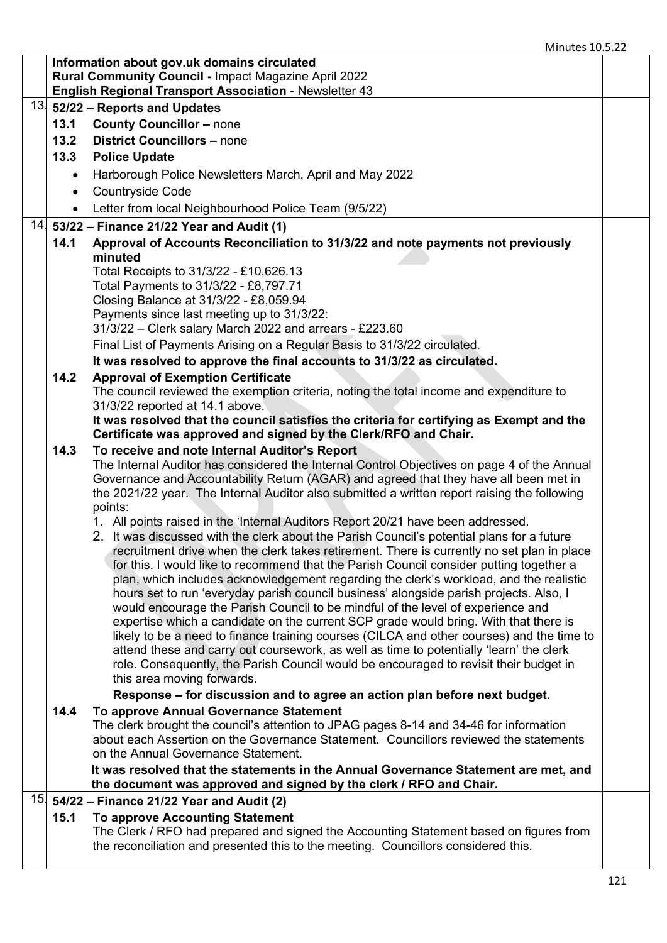|                 |           | Information about gov.uk domains circulated<br><b>Rural Community Council - Impact Magazine April 2022</b><br><b>English Regional Transport Association - Newsletter 43</b>          |  |
|-----------------|-----------|--------------------------------------------------------------------------------------------------------------------------------------------------------------------------------------|--|
| 13.             |           | 52/22 - Reports and Updates                                                                                                                                                          |  |
|                 | 13.1      | <b>County Councillor - none</b>                                                                                                                                                      |  |
|                 | 13.2      | <b>District Councillors - none</b>                                                                                                                                                   |  |
|                 | 13.3      | <b>Police Update</b>                                                                                                                                                                 |  |
|                 | $\bullet$ | Harborough Police Newsletters March, April and May 2022                                                                                                                              |  |
|                 | $\bullet$ | Countryside Code                                                                                                                                                                     |  |
|                 | $\bullet$ | Letter from local Neighbourhood Police Team (9/5/22)                                                                                                                                 |  |
|                 |           | $14$ 53/22 – Finance 21/22 Year and Audit (1)                                                                                                                                        |  |
|                 | 14.1      | Approval of Accounts Reconciliation to 31/3/22 and note payments not previously                                                                                                      |  |
|                 |           | minuted                                                                                                                                                                              |  |
|                 |           | Total Receipts to 31/3/22 - £10,626.13                                                                                                                                               |  |
|                 |           | Total Payments to 31/3/22 - £8,797.71                                                                                                                                                |  |
|                 |           | Closing Balance at 31/3/22 - £8,059.94<br>Payments since last meeting up to 31/3/22:                                                                                                 |  |
|                 |           | 31/3/22 - Clerk salary March 2022 and arrears - £223.60                                                                                                                              |  |
|                 |           | Final List of Payments Arising on a Regular Basis to 31/3/22 circulated.                                                                                                             |  |
|                 |           | It was resolved to approve the final accounts to 31/3/22 as circulated.                                                                                                              |  |
|                 | 14.2      | <b>Approval of Exemption Certificate</b>                                                                                                                                             |  |
|                 |           | The council reviewed the exemption criteria, noting the total income and expenditure to                                                                                              |  |
|                 |           | 31/3/22 reported at 14.1 above.                                                                                                                                                      |  |
|                 |           | It was resolved that the council satisfies the criteria for certifying as Exempt and the                                                                                             |  |
|                 |           | Certificate was approved and signed by the Clerk/RFO and Chair.                                                                                                                      |  |
|                 | 14.3      | To receive and note Internal Auditor's Report                                                                                                                                        |  |
|                 |           | The Internal Auditor has considered the Internal Control Objectives on page 4 of the Annual<br>Governance and Accountability Return (AGAR) and agreed that they have all been met in |  |
|                 |           | the 2021/22 year. The Internal Auditor also submitted a written report raising the following                                                                                         |  |
|                 |           | points:                                                                                                                                                                              |  |
|                 |           | 1. All points raised in the 'Internal Auditors Report 20/21 have been addressed.                                                                                                     |  |
|                 |           | 2. It was discussed with the clerk about the Parish Council's potential plans for a future                                                                                           |  |
|                 |           | recruitment drive when the clerk takes retirement. There is currently no set plan in place                                                                                           |  |
|                 |           | for this. I would like to recommend that the Parish Council consider putting together a                                                                                              |  |
|                 |           | plan, which includes acknowledgement regarding the clerk's workload, and the realistic<br>hours set to run 'everyday parish council business' alongside parish projects. Also, I     |  |
|                 |           | would encourage the Parish Council to be mindful of the level of experience and                                                                                                      |  |
|                 |           | expertise which a candidate on the current SCP grade would bring. With that there is                                                                                                 |  |
|                 |           | likely to be a need to finance training courses (CILCA and other courses) and the time to                                                                                            |  |
|                 |           | attend these and carry out coursework, as well as time to potentially 'learn' the clerk                                                                                              |  |
|                 |           | role. Consequently, the Parish Council would be encouraged to revisit their budget in                                                                                                |  |
|                 |           | this area moving forwards.                                                                                                                                                           |  |
|                 |           | Response – for discussion and to agree an action plan before next budget.                                                                                                            |  |
|                 | 14.4      | To approve Annual Governance Statement                                                                                                                                               |  |
|                 |           | The clerk brought the council's attention to JPAG pages 8-14 and 34-46 for information<br>about each Assertion on the Governance Statement. Councillors reviewed the statements      |  |
|                 |           | on the Annual Governance Statement.                                                                                                                                                  |  |
|                 |           | It was resolved that the statements in the Annual Governance Statement are met, and                                                                                                  |  |
|                 |           | the document was approved and signed by the clerk / RFO and Chair.                                                                                                                   |  |
| 15 <sub>1</sub> |           | 54/22 - Finance 21/22 Year and Audit (2)                                                                                                                                             |  |
|                 | 15.1      | <b>To approve Accounting Statement</b>                                                                                                                                               |  |
|                 |           | The Clerk / RFO had prepared and signed the Accounting Statement based on figures from                                                                                               |  |
|                 |           | the reconciliation and presented this to the meeting. Councillors considered this.                                                                                                   |  |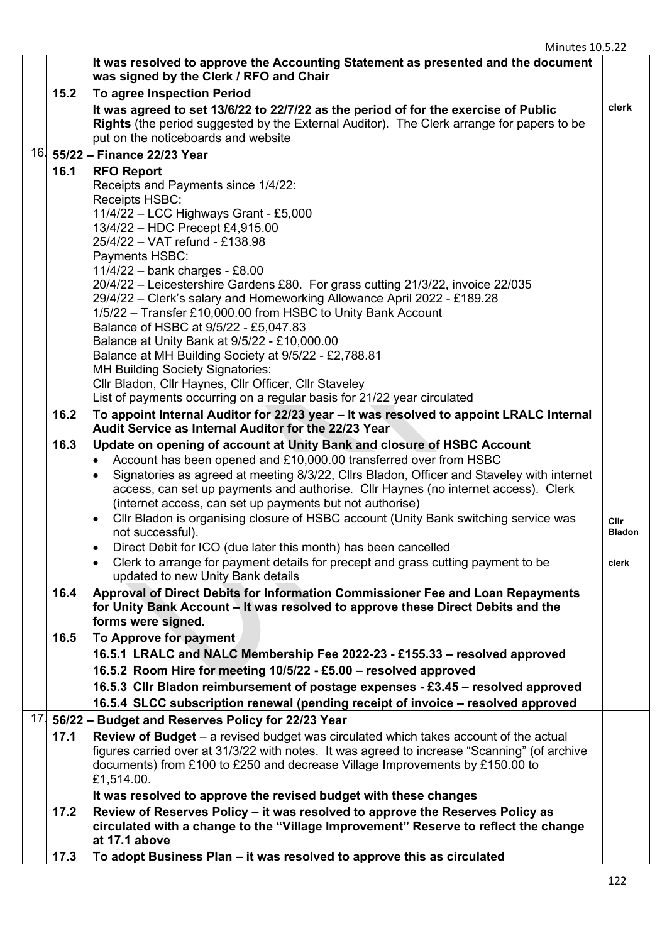|                 |      | It was resolved to approve the Accounting Statement as presented and the document<br>was signed by the Clerk / RFO and Chair                                                            |               |
|-----------------|------|-----------------------------------------------------------------------------------------------------------------------------------------------------------------------------------------|---------------|
|                 | 15.2 | To agree Inspection Period                                                                                                                                                              |               |
|                 |      | It was agreed to set 13/6/22 to 22/7/22 as the period of for the exercise of Public<br><b>Rights</b> (the period suggested by the External Auditor). The Clerk arrange for papers to be | clerk         |
|                 |      | put on the noticeboards and website                                                                                                                                                     |               |
| 16.             |      | 55/22 - Finance 22/23 Year                                                                                                                                                              |               |
|                 | 16.1 | <b>RFO Report</b>                                                                                                                                                                       |               |
|                 |      | Receipts and Payments since 1/4/22:                                                                                                                                                     |               |
|                 |      | Receipts HSBC:                                                                                                                                                                          |               |
|                 |      | 11/4/22 - LCC Highways Grant - £5,000                                                                                                                                                   |               |
|                 |      | 13/4/22 - HDC Precept £4,915.00                                                                                                                                                         |               |
|                 |      | 25/4/22 - VAT refund - £138.98                                                                                                                                                          |               |
|                 |      | Payments HSBC:                                                                                                                                                                          |               |
|                 |      | 11/4/22 - bank charges - £8.00                                                                                                                                                          |               |
|                 |      | 20/4/22 – Leicestershire Gardens £80. For grass cutting 21/3/22, invoice 22/035                                                                                                         |               |
|                 |      | 29/4/22 - Clerk's salary and Homeworking Allowance April 2022 - £189.28                                                                                                                 |               |
|                 |      | 1/5/22 - Transfer £10,000.00 from HSBC to Unity Bank Account                                                                                                                            |               |
|                 |      | Balance of HSBC at 9/5/22 - £5,047.83                                                                                                                                                   |               |
|                 |      | Balance at Unity Bank at 9/5/22 - £10,000.00                                                                                                                                            |               |
|                 |      | Balance at MH Building Society at 9/5/22 - £2,788.81                                                                                                                                    |               |
|                 |      | <b>MH Building Society Signatories:</b>                                                                                                                                                 |               |
|                 |      | Cllr Bladon, Cllr Haynes, Cllr Officer, Cllr Staveley                                                                                                                                   |               |
|                 |      | List of payments occurring on a regular basis for 21/22 year circulated                                                                                                                 |               |
|                 | 16.2 | To appoint Internal Auditor for 22/23 year - It was resolved to appoint LRALC Internal                                                                                                  |               |
|                 |      | Audit Service as Internal Auditor for the 22/23 Year                                                                                                                                    |               |
|                 | 16.3 | Update on opening of account at Unity Bank and closure of HSBC Account                                                                                                                  |               |
|                 |      | Account has been opened and £10,000.00 transferred over from HSBC<br>$\bullet$                                                                                                          |               |
|                 |      | Signatories as agreed at meeting 8/3/22, Cllrs Bladon, Officer and Staveley with internet<br>٠                                                                                          |               |
|                 |      | access, can set up payments and authorise. Cllr Haynes (no internet access). Clerk                                                                                                      |               |
|                 |      | (internet access, can set up payments but not authorise)                                                                                                                                |               |
|                 |      | Cllr Bladon is organising closure of HSBC account (Unity Bank switching service was<br>$\bullet$                                                                                        | Cllr          |
|                 |      | not successful).                                                                                                                                                                        | <b>Bladon</b> |
|                 |      | Direct Debit for ICO (due later this month) has been cancelled                                                                                                                          |               |
|                 |      | Clerk to arrange for payment details for precept and grass cutting payment to be                                                                                                        | clerk         |
|                 |      | updated to new Unity Bank details                                                                                                                                                       |               |
|                 | 16.4 | Approval of Direct Debits for Information Commissioner Fee and Loan Repayments                                                                                                          |               |
|                 |      | for Unity Bank Account – It was resolved to approve these Direct Debits and the                                                                                                         |               |
|                 |      | forms were signed.                                                                                                                                                                      |               |
|                 | 16.5 | To Approve for payment                                                                                                                                                                  |               |
|                 |      | 16.5.1 LRALC and NALC Membership Fee 2022-23 - £155.33 - resolved approved                                                                                                              |               |
|                 |      | 16.5.2 Room Hire for meeting 10/5/22 - £5.00 - resolved approved                                                                                                                        |               |
|                 |      | 16.5.3 Cllr Bladon reimbursement of postage expenses - £3.45 - resolved approved                                                                                                        |               |
|                 |      | 16.5.4 SLCC subscription renewal (pending receipt of invoice - resolved approved                                                                                                        |               |
| 17 <sub>2</sub> |      | 56/22 - Budget and Reserves Policy for 22/23 Year                                                                                                                                       |               |
|                 | 17.1 | <b>Review of Budget</b> $-$ a revised budget was circulated which takes account of the actual                                                                                           |               |
|                 |      | figures carried over at 31/3/22 with notes. It was agreed to increase "Scanning" (of archive                                                                                            |               |
|                 |      | documents) from £100 to £250 and decrease Village Improvements by £150.00 to                                                                                                            |               |
|                 |      | £1,514.00.                                                                                                                                                                              |               |
|                 |      | It was resolved to approve the revised budget with these changes                                                                                                                        |               |
|                 | 17.2 | Review of Reserves Policy - it was resolved to approve the Reserves Policy as                                                                                                           |               |
|                 |      | circulated with a change to the "Village Improvement" Reserve to reflect the change                                                                                                     |               |
|                 |      | at 17.1 above                                                                                                                                                                           |               |
|                 | 17.3 | To adopt Business Plan - it was resolved to approve this as circulated                                                                                                                  |               |
|                 |      |                                                                                                                                                                                         |               |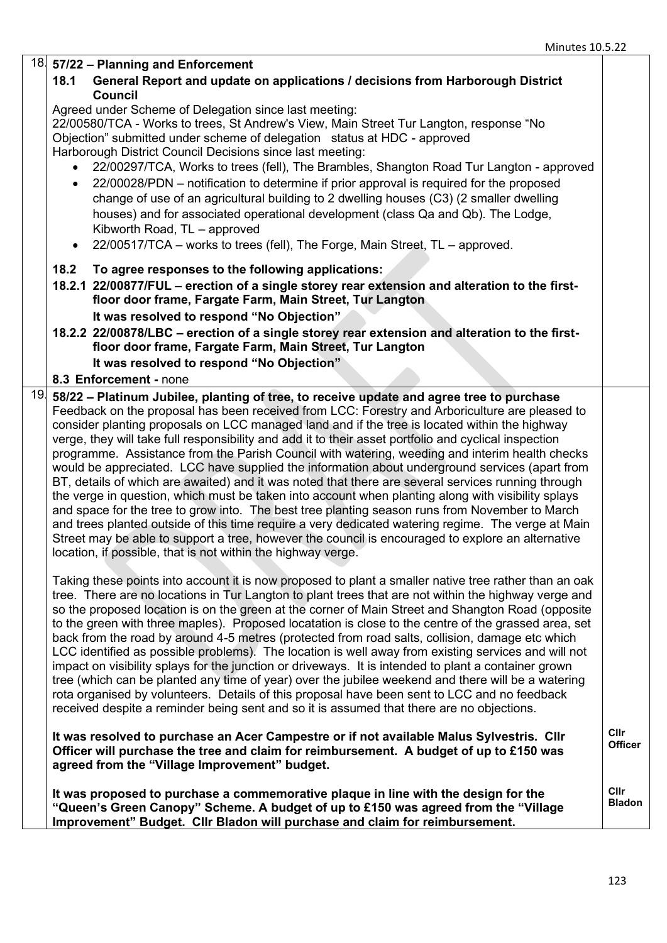|     | $\frac{18}{18}$ 57/22 – Planning and Enforcement                                                                                                                                                                                                                                                                                                                                                                                                                                                                                                                                                                                                                                                                                                                                                                                                                                                                                                                                                                                                                                                      |                               |
|-----|-------------------------------------------------------------------------------------------------------------------------------------------------------------------------------------------------------------------------------------------------------------------------------------------------------------------------------------------------------------------------------------------------------------------------------------------------------------------------------------------------------------------------------------------------------------------------------------------------------------------------------------------------------------------------------------------------------------------------------------------------------------------------------------------------------------------------------------------------------------------------------------------------------------------------------------------------------------------------------------------------------------------------------------------------------------------------------------------------------|-------------------------------|
|     | General Report and update on applications / decisions from Harborough District<br>18.1<br>Council                                                                                                                                                                                                                                                                                                                                                                                                                                                                                                                                                                                                                                                                                                                                                                                                                                                                                                                                                                                                     |                               |
|     | Agreed under Scheme of Delegation since last meeting:<br>22/00580/TCA - Works to trees, St Andrew's View, Main Street Tur Langton, response "No<br>Objection" submitted under scheme of delegation status at HDC - approved                                                                                                                                                                                                                                                                                                                                                                                                                                                                                                                                                                                                                                                                                                                                                                                                                                                                           |                               |
|     | Harborough District Council Decisions since last meeting:<br>22/00297/TCA, Works to trees (fell), The Brambles, Shangton Road Tur Langton - approved<br>22/00028/PDN – notification to determine if prior approval is required for the proposed                                                                                                                                                                                                                                                                                                                                                                                                                                                                                                                                                                                                                                                                                                                                                                                                                                                       |                               |
|     | $\bullet$<br>change of use of an agricultural building to 2 dwelling houses (C3) (2 smaller dwelling<br>houses) and for associated operational development (class Qa and Qb). The Lodge,<br>Kibworth Road, TL - approved                                                                                                                                                                                                                                                                                                                                                                                                                                                                                                                                                                                                                                                                                                                                                                                                                                                                              |                               |
|     | 22/00517/TCA - works to trees (fell), The Forge, Main Street, TL - approved.<br>$\bullet$                                                                                                                                                                                                                                                                                                                                                                                                                                                                                                                                                                                                                                                                                                                                                                                                                                                                                                                                                                                                             |                               |
|     | To agree responses to the following applications:<br>18.2<br>18.2.1 22/00877/FUL - erection of a single storey rear extension and alteration to the first-                                                                                                                                                                                                                                                                                                                                                                                                                                                                                                                                                                                                                                                                                                                                                                                                                                                                                                                                            |                               |
|     | floor door frame, Fargate Farm, Main Street, Tur Langton<br>It was resolved to respond "No Objection"                                                                                                                                                                                                                                                                                                                                                                                                                                                                                                                                                                                                                                                                                                                                                                                                                                                                                                                                                                                                 |                               |
|     | 18.2.2 22/00878/LBC – erection of a single storey rear extension and alteration to the first-<br>floor door frame, Fargate Farm, Main Street, Tur Langton                                                                                                                                                                                                                                                                                                                                                                                                                                                                                                                                                                                                                                                                                                                                                                                                                                                                                                                                             |                               |
|     | It was resolved to respond "No Objection"<br>8.3 Enforcement - none                                                                                                                                                                                                                                                                                                                                                                                                                                                                                                                                                                                                                                                                                                                                                                                                                                                                                                                                                                                                                                   |                               |
| 19. | 58/22 - Platinum Jubilee, planting of tree, to receive update and agree tree to purchase                                                                                                                                                                                                                                                                                                                                                                                                                                                                                                                                                                                                                                                                                                                                                                                                                                                                                                                                                                                                              |                               |
|     | Feedback on the proposal has been received from LCC: Forestry and Arboriculture are pleased to<br>consider planting proposals on LCC managed land and if the tree is located within the highway<br>verge, they will take full responsibility and add it to their asset portfolio and cyclical inspection<br>programme. Assistance from the Parish Council with watering, weeding and interim health checks<br>would be appreciated. LCC have supplied the information about underground services (apart from<br>BT, details of which are awaited) and it was noted that there are several services running through<br>the verge in question, which must be taken into account when planting along with visibility splays<br>and space for the tree to grow into. The best tree planting season runs from November to March<br>and trees planted outside of this time require a very dedicated watering regime. The verge at Main<br>Street may be able to support a tree, however the council is encouraged to explore an alternative<br>location, if possible, that is not within the highway verge. |                               |
|     | Taking these points into account it is now proposed to plant a smaller native tree rather than an oak<br>tree. There are no locations in Tur Langton to plant trees that are not within the highway verge and<br>so the proposed location is on the green at the corner of Main Street and Shangton Road (opposite<br>to the green with three maples). Proposed locatation is close to the centre of the grassed area, set<br>back from the road by around 4-5 metres (protected from road salts, collision, damage etc which<br>LCC identified as possible problems). The location is well away from existing services and will not<br>impact on visibility splays for the junction or driveways. It is intended to plant a container grown<br>tree (which can be planted any time of year) over the jubilee weekend and there will be a watering<br>rota organised by volunteers. Details of this proposal have been sent to LCC and no feedback<br>received despite a reminder being sent and so it is assumed that there are no objections.                                                       |                               |
|     | It was resolved to purchase an Acer Campestre or if not available Malus Sylvestris. Cllr<br>Officer will purchase the tree and claim for reimbursement. A budget of up to £150 was<br>agreed from the "Village Improvement" budget.                                                                                                                                                                                                                                                                                                                                                                                                                                                                                                                                                                                                                                                                                                                                                                                                                                                                   | <b>Clir</b><br><b>Officer</b> |
|     | It was proposed to purchase a commemorative plaque in line with the design for the<br>"Queen's Green Canopy" Scheme. A budget of up to £150 was agreed from the "Village"<br>Improvement" Budget. Cllr Bladon will purchase and claim for reimbursement.                                                                                                                                                                                                                                                                                                                                                                                                                                                                                                                                                                                                                                                                                                                                                                                                                                              | Cllr<br><b>Bladon</b>         |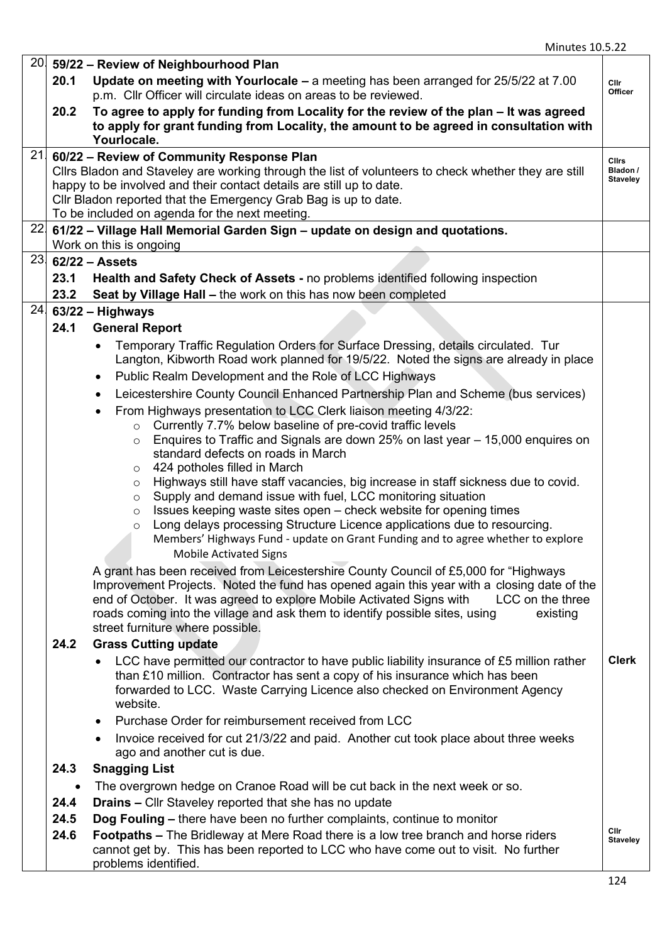|           | $20\vert$ 59/22 – Review of Neighbourhood Plan                                                                                                                                                                                                                                                                                                                                                                                                                                                                                                                                                                                                                                                                                                                                                                                                                                                                                                                                                                                                                                                                                                                                                                                                                                                                                                                                                                                                                                                       |                                             |
|-----------|------------------------------------------------------------------------------------------------------------------------------------------------------------------------------------------------------------------------------------------------------------------------------------------------------------------------------------------------------------------------------------------------------------------------------------------------------------------------------------------------------------------------------------------------------------------------------------------------------------------------------------------------------------------------------------------------------------------------------------------------------------------------------------------------------------------------------------------------------------------------------------------------------------------------------------------------------------------------------------------------------------------------------------------------------------------------------------------------------------------------------------------------------------------------------------------------------------------------------------------------------------------------------------------------------------------------------------------------------------------------------------------------------------------------------------------------------------------------------------------------------|---------------------------------------------|
| 20.1      | Update on meeting with Yourlocale - a meeting has been arranged for 25/5/22 at 7.00<br>p.m. Cllr Officer will circulate ideas on areas to be reviewed.                                                                                                                                                                                                                                                                                                                                                                                                                                                                                                                                                                                                                                                                                                                                                                                                                                                                                                                                                                                                                                                                                                                                                                                                                                                                                                                                               | <b>Clir</b><br>Officer                      |
| 20.2      | To agree to apply for funding from Locality for the review of the plan - It was agreed<br>to apply for grant funding from Locality, the amount to be agreed in consultation with<br>Yourlocale.                                                                                                                                                                                                                                                                                                                                                                                                                                                                                                                                                                                                                                                                                                                                                                                                                                                                                                                                                                                                                                                                                                                                                                                                                                                                                                      |                                             |
|           | $21$ 60/22 – Review of Community Response Plan<br>Cllrs Bladon and Staveley are working through the list of volunteers to check whether they are still<br>happy to be involved and their contact details are still up to date.<br>Cllr Bladon reported that the Emergency Grab Bag is up to date.<br>To be included on agenda for the next meeting.                                                                                                                                                                                                                                                                                                                                                                                                                                                                                                                                                                                                                                                                                                                                                                                                                                                                                                                                                                                                                                                                                                                                                  | <b>Clirs</b><br>Bladon /<br><b>Staveley</b> |
|           | $22$ 61/22 – Village Hall Memorial Garden Sign – update on design and quotations.<br>Work on this is ongoing                                                                                                                                                                                                                                                                                                                                                                                                                                                                                                                                                                                                                                                                                                                                                                                                                                                                                                                                                                                                                                                                                                                                                                                                                                                                                                                                                                                         |                                             |
|           | $23 62/22 -$ Assets                                                                                                                                                                                                                                                                                                                                                                                                                                                                                                                                                                                                                                                                                                                                                                                                                                                                                                                                                                                                                                                                                                                                                                                                                                                                                                                                                                                                                                                                                  |                                             |
| 23.1      | <b>Health and Safety Check of Assets - no problems identified following inspection</b>                                                                                                                                                                                                                                                                                                                                                                                                                                                                                                                                                                                                                                                                                                                                                                                                                                                                                                                                                                                                                                                                                                                                                                                                                                                                                                                                                                                                               |                                             |
| 23.2      | Seat by Village Hall - the work on this has now been completed                                                                                                                                                                                                                                                                                                                                                                                                                                                                                                                                                                                                                                                                                                                                                                                                                                                                                                                                                                                                                                                                                                                                                                                                                                                                                                                                                                                                                                       |                                             |
|           | $24$ 63/22 - Highways                                                                                                                                                                                                                                                                                                                                                                                                                                                                                                                                                                                                                                                                                                                                                                                                                                                                                                                                                                                                                                                                                                                                                                                                                                                                                                                                                                                                                                                                                |                                             |
| 24.1      | <b>General Report</b>                                                                                                                                                                                                                                                                                                                                                                                                                                                                                                                                                                                                                                                                                                                                                                                                                                                                                                                                                                                                                                                                                                                                                                                                                                                                                                                                                                                                                                                                                |                                             |
|           | Temporary Traffic Regulation Orders for Surface Dressing, details circulated. Tur<br>Langton, Kibworth Road work planned for 19/5/22. Noted the signs are already in place<br>Public Realm Development and the Role of LCC Highways<br>$\bullet$<br>Leicestershire County Council Enhanced Partnership Plan and Scheme (bus services)<br>From Highways presentation to LCC Clerk liaison meeting 4/3/22:<br>$\circ$ Currently 7.7% below baseline of pre-covid traffic levels<br>Enquires to Traffic and Signals are down 25% on last year – 15,000 enquires on<br>$\circ$<br>standard defects on roads in March<br>424 potholes filled in March<br>O<br>Highways still have staff vacancies, big increase in staff sickness due to covid.<br>O<br>Supply and demand issue with fuel, LCC monitoring situation<br>$\circ$<br>Issues keeping waste sites open – check website for opening times<br>$\circ$<br>Long delays processing Structure Licence applications due to resourcing.<br>$\circ$<br>Members' Highways Fund - update on Grant Funding and to agree whether to explore<br><b>Mobile Activated Signs</b><br>A grant has been received from Leicestershire County Council of £5,000 for "Highways"<br>Improvement Projects. Noted the fund has opened again this year with a closing date of the<br>end of October. It was agreed to explore Mobile Activated Signs with<br>LCC on the three<br>roads coming into the village and ask them to identify possible sites, using<br>existing |                                             |
| 24.2      | street furniture where possible.<br><b>Grass Cutting update</b>                                                                                                                                                                                                                                                                                                                                                                                                                                                                                                                                                                                                                                                                                                                                                                                                                                                                                                                                                                                                                                                                                                                                                                                                                                                                                                                                                                                                                                      |                                             |
|           | LCC have permitted our contractor to have public liability insurance of £5 million rather<br>than £10 million. Contractor has sent a copy of his insurance which has been<br>forwarded to LCC. Waste Carrying Licence also checked on Environment Agency<br>website.                                                                                                                                                                                                                                                                                                                                                                                                                                                                                                                                                                                                                                                                                                                                                                                                                                                                                                                                                                                                                                                                                                                                                                                                                                 | <b>Clerk</b>                                |
|           | Purchase Order for reimbursement received from LCC                                                                                                                                                                                                                                                                                                                                                                                                                                                                                                                                                                                                                                                                                                                                                                                                                                                                                                                                                                                                                                                                                                                                                                                                                                                                                                                                                                                                                                                   |                                             |
|           | Invoice received for cut 21/3/22 and paid. Another cut took place about three weeks<br>ago and another cut is due.                                                                                                                                                                                                                                                                                                                                                                                                                                                                                                                                                                                                                                                                                                                                                                                                                                                                                                                                                                                                                                                                                                                                                                                                                                                                                                                                                                                   |                                             |
| 24.3      | <b>Snagging List</b>                                                                                                                                                                                                                                                                                                                                                                                                                                                                                                                                                                                                                                                                                                                                                                                                                                                                                                                                                                                                                                                                                                                                                                                                                                                                                                                                                                                                                                                                                 |                                             |
| $\bullet$ | The overgrown hedge on Cranoe Road will be cut back in the next week or so.                                                                                                                                                                                                                                                                                                                                                                                                                                                                                                                                                                                                                                                                                                                                                                                                                                                                                                                                                                                                                                                                                                                                                                                                                                                                                                                                                                                                                          |                                             |
| 24.4      | <b>Drains - Cllr Staveley reported that she has no update</b>                                                                                                                                                                                                                                                                                                                                                                                                                                                                                                                                                                                                                                                                                                                                                                                                                                                                                                                                                                                                                                                                                                                                                                                                                                                                                                                                                                                                                                        |                                             |
| 24.5      | Dog Fouling – there have been no further complaints, continue to monitor                                                                                                                                                                                                                                                                                                                                                                                                                                                                                                                                                                                                                                                                                                                                                                                                                                                                                                                                                                                                                                                                                                                                                                                                                                                                                                                                                                                                                             | Clir                                        |
| 24.6      | <b>Footpaths - The Bridleway at Mere Road there is a low tree branch and horse riders</b><br>cannot get by. This has been reported to LCC who have come out to visit. No further<br>problems identified.                                                                                                                                                                                                                                                                                                                                                                                                                                                                                                                                                                                                                                                                                                                                                                                                                                                                                                                                                                                                                                                                                                                                                                                                                                                                                             | <b>Staveley</b>                             |
|           |                                                                                                                                                                                                                                                                                                                                                                                                                                                                                                                                                                                                                                                                                                                                                                                                                                                                                                                                                                                                                                                                                                                                                                                                                                                                                                                                                                                                                                                                                                      | 124                                         |